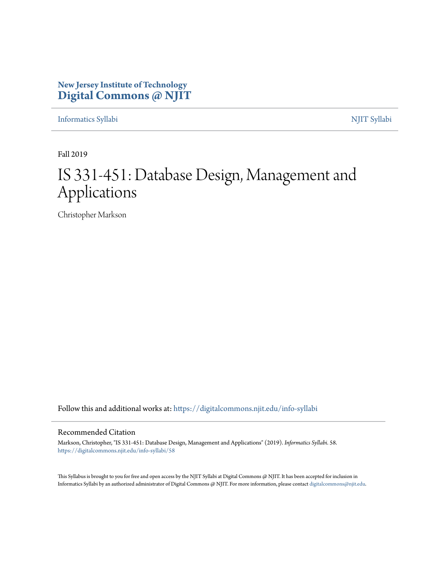#### **New Jersey Institute of Technology [Digital Commons @ NJIT](https://digitalcommons.njit.edu/?utm_source=digitalcommons.njit.edu%2Finfo-syllabi%2F58&utm_medium=PDF&utm_campaign=PDFCoverPages)**

[Informatics Syllabi](https://digitalcommons.njit.edu/info-syllabi?utm_source=digitalcommons.njit.edu%2Finfo-syllabi%2F58&utm_medium=PDF&utm_campaign=PDFCoverPages) [NJIT Syllabi](https://digitalcommons.njit.edu/syllabi?utm_source=digitalcommons.njit.edu%2Finfo-syllabi%2F58&utm_medium=PDF&utm_campaign=PDFCoverPages)

Fall 2019

# IS 331-451: Database Design, Management and Applications

Christopher Markson

Follow this and additional works at: [https://digitalcommons.njit.edu/info-syllabi](https://digitalcommons.njit.edu/info-syllabi?utm_source=digitalcommons.njit.edu%2Finfo-syllabi%2F58&utm_medium=PDF&utm_campaign=PDFCoverPages)

#### Recommended Citation

Markson, Christopher, "IS 331-451: Database Design, Management and Applications" (2019). *Informatics Syllabi*. 58. [https://digitalcommons.njit.edu/info-syllabi/58](https://digitalcommons.njit.edu/info-syllabi/58?utm_source=digitalcommons.njit.edu%2Finfo-syllabi%2F58&utm_medium=PDF&utm_campaign=PDFCoverPages)

This Syllabus is brought to you for free and open access by the NJIT Syllabi at Digital Commons @ NJIT. It has been accepted for inclusion in Informatics Syllabi by an authorized administrator of Digital Commons @ NJIT. For more information, please contact [digitalcommons@njit.edu.](mailto:digitalcommons@njit.edu)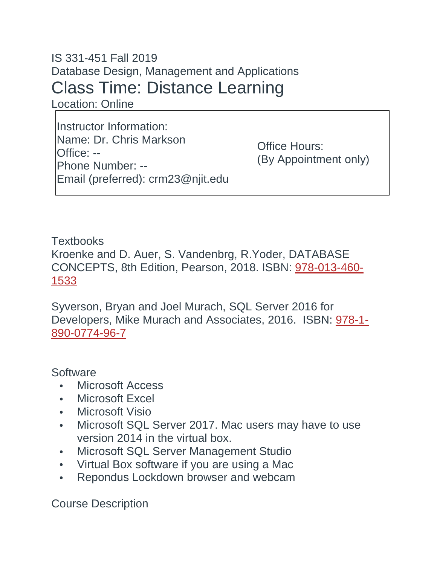# IS 331-451 Fall 2019 Database Design, Management and Applications Class Time: Distance Learning

Location: Online

| Instructor Information:<br>Name: Dr. Chris Markson<br><b>Office: --</b><br><b>Phone Number: --</b><br>Email (preferred): crm23@njit.edu | <b>Office Hours:</b><br>(By Appointment only) |
|-----------------------------------------------------------------------------------------------------------------------------------------|-----------------------------------------------|
|-----------------------------------------------------------------------------------------------------------------------------------------|-----------------------------------------------|

**Textbooks** Kroenke and D. Auer, S. Vandenbrg, R.Yoder, DATABASE CONCEPTS, 8th Edition, Pearson, 2018. ISBN: 978-013-460- 1533

Syverson, Bryan and Joel Murach, SQL Server 2016 for Developers, Mike Murach and Associates, 2016. ISBN: 978-1- 890-0774-96-7

**Software** 

- Microsoft Access
- Microsoft Excel
- Microsoft Visio
- Microsoft SQL Server 2017. Mac users may have to use version 2014 in the virtual box.
- Microsoft SQL Server Management Studio
- Virtual Box software if you are using a Mac
- Repondus Lockdown browser and webcam

Course Description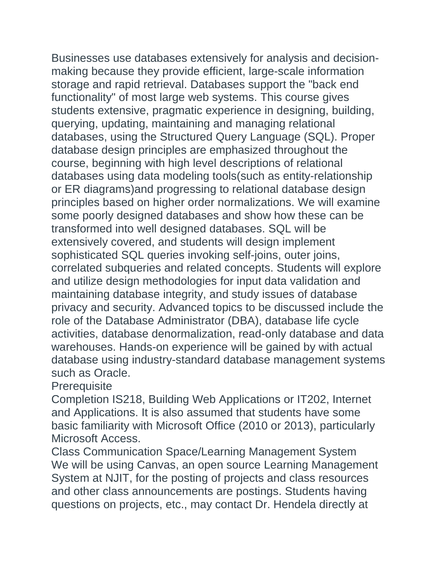Businesses use databases extensively for analysis and decisionmaking because they provide efficient, large-scale information storage and rapid retrieval. Databases support the "back end functionality" of most large web systems. This course gives students extensive, pragmatic experience in designing, building, querying, updating, maintaining and managing relational databases, using the Structured Query Language (SQL). Proper database design principles are emphasized throughout the course, beginning with high level descriptions of relational databases using data modeling tools(such as entity-relationship or ER diagrams)and progressing to relational database design principles based on higher order normalizations. We will examine some poorly designed databases and show how these can be transformed into well designed databases. SQL will be extensively covered, and students will design implement sophisticated SQL queries invoking self-joins, outer joins, correlated subqueries and related concepts. Students will explore and utilize design methodologies for input data validation and maintaining database integrity, and study issues of database privacy and security. Advanced topics to be discussed include the role of the Database Administrator (DBA), database life cycle activities, database denormalization, read-only database and data warehouses. Hands-on experience will be gained by with actual database using industry-standard database management systems such as Oracle.

**Prerequisite** 

Completion IS218, Building Web Applications or IT202, Internet and Applications. It is also assumed that students have some basic familiarity with Microsoft Office (2010 or 2013), particularly Microsoft Access.

Class Communication Space/Learning Management System We will be using Canvas, an open source Learning Management System at NJIT, for the posting of projects and class resources and other class announcements are postings. Students having questions on projects, etc., may contact Dr. Hendela directly at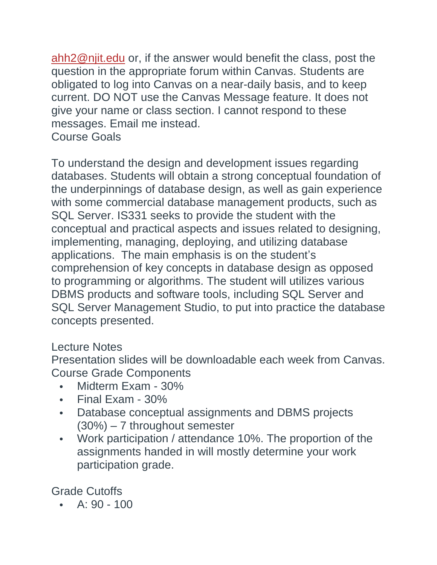[ahh2@njit.edu](mailto:ahh2@njit.edu) or, if the answer would benefit the class, post the question in the appropriate forum within Canvas. Students are obligated to log into Canvas on a near-daily basis, and to keep current. DO NOT use the Canvas Message feature. It does not give your name or class section. I cannot respond to these messages. Email me instead.

Course Goals

To understand the design and development issues regarding databases. Students will obtain a strong conceptual foundation of the underpinnings of database design, as well as gain experience with some commercial database management products, such as SQL Server. IS331 seeks to provide the student with the conceptual and practical aspects and issues related to designing, implementing, managing, deploying, and utilizing database applications. The main emphasis is on the student's comprehension of key concepts in database design as opposed to programming or algorithms. The student will utilizes various DBMS products and software tools, including SQL Server and SQL Server Management Studio, to put into practice the database concepts presented.

#### Lecture Notes

Presentation slides will be downloadable each week from Canvas. Course Grade Components

- Midterm Exam 30%
- Final Exam 30%
- Database conceptual assignments and DBMS projects (30%) – 7 throughout semester
- Work participation / attendance 10%. The proportion of the assignments handed in will mostly determine your work participation grade.

Grade Cutoffs

•  $A: 90 - 100$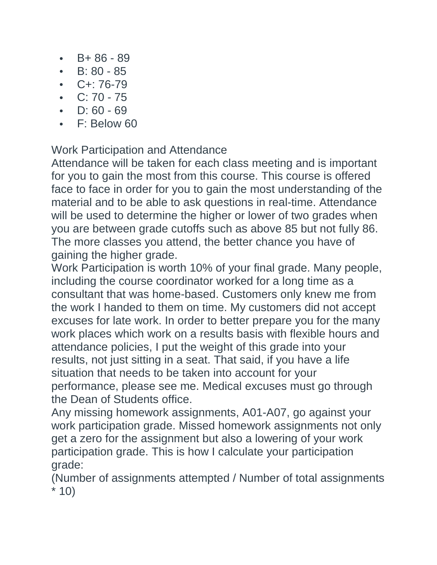- $\cdot$  B + 86 89
- $\cdot$  B: 80 85
- $C+: 76-79$
- $C: 70 75$
- $D: 60 69$
- F: Below 60

Work Participation and Attendance

Attendance will be taken for each class meeting and is important for you to gain the most from this course. This course is offered face to face in order for you to gain the most understanding of the material and to be able to ask questions in real-time. Attendance will be used to determine the higher or lower of two grades when you are between grade cutoffs such as above 85 but not fully 86. The more classes you attend, the better chance you have of gaining the higher grade.

Work Participation is worth 10% of your final grade. Many people, including the course coordinator worked for a long time as a consultant that was home-based. Customers only knew me from the work I handed to them on time. My customers did not accept excuses for late work. In order to better prepare you for the many work places which work on a results basis with flexible hours and attendance policies, I put the weight of this grade into your results, not just sitting in a seat. That said, if you have a life situation that needs to be taken into account for your performance, please see me. Medical excuses must go through the Dean of Students office.

Any missing homework assignments, A01-A07, go against your work participation grade. Missed homework assignments not only get a zero for the assignment but also a lowering of your work participation grade. This is how I calculate your participation grade:

(Number of assignments attempted / Number of total assignments  $*10)$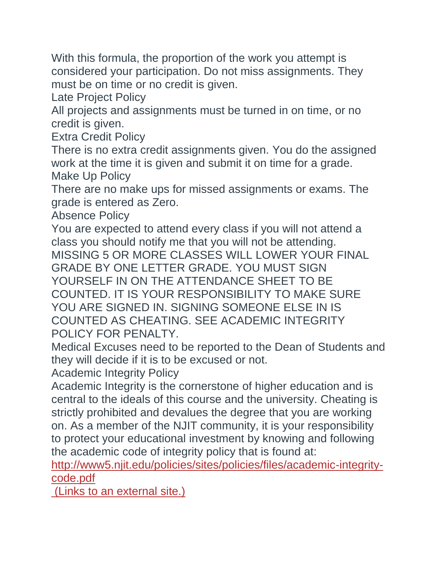With this formula, the proportion of the work you attempt is considered your participation. Do not miss assignments. They must be on time or no credit is given.

Late Project Policy

All projects and assignments must be turned in on time, or no credit is given.

Extra Credit Policy

There is no extra credit assignments given. You do the assigned work at the time it is given and submit it on time for a grade. Make Up Policy

There are no make ups for missed assignments or exams. The grade is entered as Zero.

Absence Policy

You are expected to attend every class if you will not attend a class you should notify me that you will not be attending. MISSING 5 OR MORE CLASSES WILL LOWER YOUR FINAL GRADE BY ONE LETTER GRADE. YOU MUST SIGN YOURSELF IN ON THE ATTENDANCE SHEET TO BE COUNTED. IT IS YOUR RESPONSIBILITY TO MAKE SURE YOU ARE SIGNED IN. SIGNING SOMEONE ELSE IN IS COUNTED AS CHEATING. SEE ACADEMIC INTEGRITY POLICY FOR PENALTY.

Medical Excuses need to be reported to the Dean of Students and they will decide if it is to be excused or not.

Academic Integrity Policy

Academic Integrity is the cornerstone of higher education and is central to the ideals of this course and the university. Cheating is strictly prohibited and devalues the degree that you are working on. As a member of the NJIT community, it is your responsibility to protect your educational investment by knowing and following the academic code of integrity policy that is found at:

[http://www5.njit.edu/policies/sites/policies/files/academic-integrity](http://www5.njit.edu/policies/sites/policies/files/academic-integrity-code.pdf)[code.pdf](http://www5.njit.edu/policies/sites/policies/files/academic-integrity-code.pdf)

(Links to an [external](http://www5.njit.edu/policies/sites/policies/files/academic-integrity-code.pdf) site.)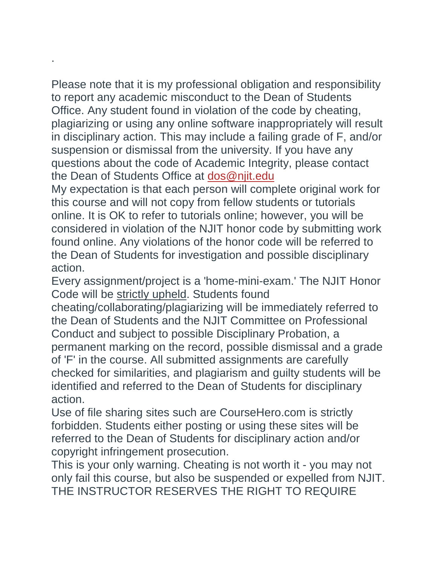Please note that it is my professional obligation and responsibility to report any academic misconduct to the Dean of Students Office. Any student found in violation of the code by cheating, plagiarizing or using any online software inappropriately will result in disciplinary action. This may include a failing grade of F, and/or suspension or dismissal from the university. If you have any questions about the code of Academic Integrity, please contact the Dean of Students Office at [dos@njit.edu](mailto:dos@njit.edu)

.

My expectation is that each person will complete original work for this course and will not copy from fellow students or tutorials online. It is OK to refer to tutorials online; however, you will be considered in violation of the NJIT honor code by submitting work found online. Any violations of the honor code will be referred to the Dean of Students for investigation and possible disciplinary action.

Every assignment/project is a 'home-mini-exam.' The NJIT Honor Code will be strictly upheld. Students found

cheating/collaborating/plagiarizing will be immediately referred to the Dean of Students and the NJIT Committee on Professional Conduct and subject to possible Disciplinary Probation, a permanent marking on the record, possible dismissal and a grade of 'F' in the course. All submitted assignments are carefully checked for similarities, and plagiarism and guilty students will be identified and referred to the Dean of Students for disciplinary action.

Use of file sharing sites such are CourseHero.com is strictly forbidden. Students either posting or using these sites will be referred to the Dean of Students for disciplinary action and/or copyright infringement prosecution.

This is your only warning. Cheating is not worth it - you may not only fail this course, but also be suspended or expelled from NJIT. THE INSTRUCTOR RESERVES THE RIGHT TO REQUIRE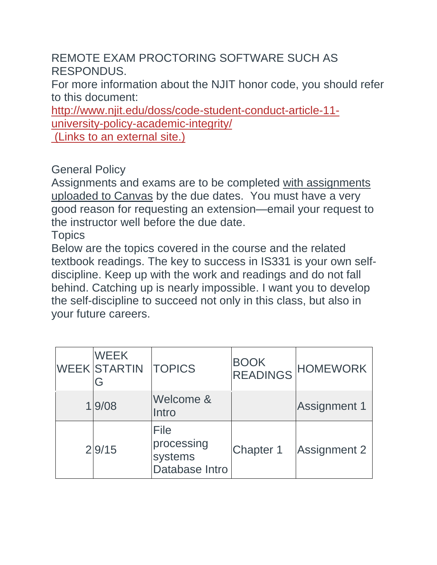REMOTE EXAM PROCTORING SOFTWARE SUCH AS RESPONDUS.

For more information about the NJIT honor code, you should refer to this document:

[http://www.njit.edu/doss/code-student-conduct-article-11](http://www.njit.edu/doss/code-student-conduct-article-11-university-policy-academic-integrity/) [university-policy-academic-integrity/](http://www.njit.edu/doss/code-student-conduct-article-11-university-policy-academic-integrity/)

(Links to an [external](http://www.njit.edu/doss/code-student-conduct-article-11-university-policy-academic-integrity/) site.)

## General Policy

Assignments and exams are to be completed with assignments uploaded to Canvas by the due dates. You must have a very good reason for requesting an extension—email your request to the instructor well before the due date.

#### **Topics**

Below are the topics covered in the course and the related textbook readings. The key to success in IS331 is your own selfdiscipline. Keep up with the work and readings and do not fall behind. Catching up is nearly impossible. I want you to develop the self-discipline to succeed not only in this class, but also in your future careers.

| <b>WEEK</b><br><b>WEEK STARTIN</b><br>G | <b>TOPICS</b>                                   | <b>BOOK</b><br><b>READINGS</b> | <b>HOMEWORK</b>     |
|-----------------------------------------|-------------------------------------------------|--------------------------------|---------------------|
| 1 9/08                                  | Welcome &<br>Intro                              |                                | <b>Assignment 1</b> |
| 2 9/15                                  | File<br>processing<br>systems<br>Database Intro | <b>Chapter 1</b>               | <b>Assignment 2</b> |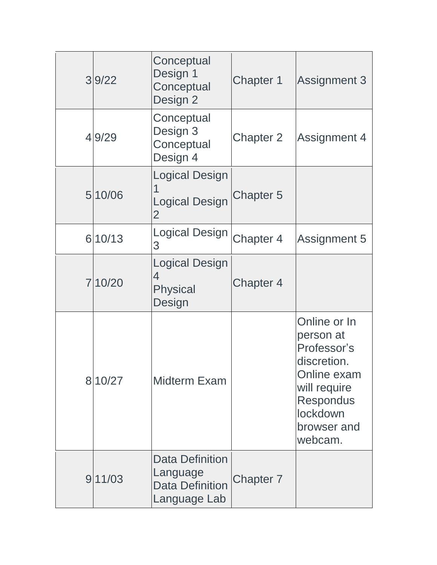| 39/22   | Conceptual<br>Design 1<br>Conceptual<br>Design 2                             | Chapter 1        | <b>Assignment 3</b>                                                                                                                              |
|---------|------------------------------------------------------------------------------|------------------|--------------------------------------------------------------------------------------------------------------------------------------------------|
| 4 9/29  | Conceptual<br>Design 3<br>Conceptual<br>Design 4                             | <b>Chapter 2</b> | <b>Assignment 4</b>                                                                                                                              |
| 5 10/06 | <b>Logical Design</b><br>1<br><b>Logical Design</b><br>$\overline{2}$        | <b>Chapter 5</b> |                                                                                                                                                  |
| 6 10/13 | <b>Logical Design</b><br>3                                                   | Chapter 4        | <b>Assignment 5</b>                                                                                                                              |
| 7 10/20 | <b>Logical Design</b><br>4<br>Physical<br>Design                             | <b>Chapter 4</b> |                                                                                                                                                  |
| 8 10/27 | <b>Midterm Exam</b>                                                          |                  | Online or In<br>person at<br>Professor's<br>discretion.<br>Online exam<br>will require<br><b>Respondus</b><br>lockdown<br>browser and<br>webcam. |
| 911/03  | <b>Data Definition</b><br>Language<br><b>Data Definition</b><br>Language Lab | Chapter 7        |                                                                                                                                                  |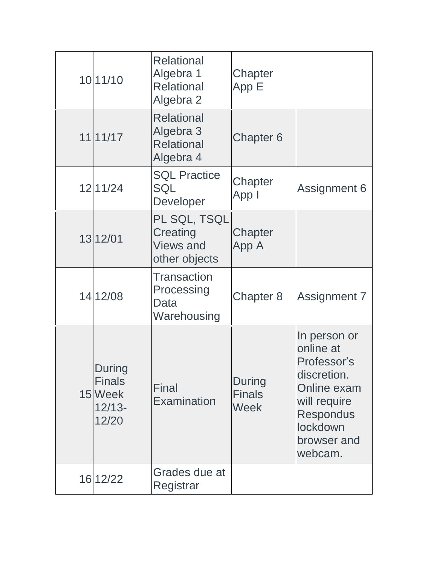| 10 11/10                                                | <b>Relational</b><br>Algebra 1<br><b>Relational</b><br>Algebra 2 | Chapter<br>App E                       |                                                                                                                                                  |
|---------------------------------------------------------|------------------------------------------------------------------|----------------------------------------|--------------------------------------------------------------------------------------------------------------------------------------------------|
| 11 11/17                                                | <b>Relational</b><br>Algebra 3<br><b>Relational</b><br>Algebra 4 | Chapter 6                              |                                                                                                                                                  |
| 12 11/24                                                | <b>SQL Practice</b><br>SQL<br>Developer                          | Chapter<br>App I                       | <b>Assignment 6</b>                                                                                                                              |
| 13 12/01                                                | PL SQL, TSQL<br>Creating<br><b>Views and</b><br>other objects    | Chapter<br>App A                       |                                                                                                                                                  |
| 14 12/08                                                | <b>Transaction</b><br>Processing<br>Data<br>Warehousing          | Chapter 8                              | Assignment 7                                                                                                                                     |
| During<br><b>Finals</b><br>15 Week<br>$12/13-$<br>12/20 | <b>Final</b><br><b>Examination</b>                               | During<br><b>Finals</b><br><b>Week</b> | In person or<br>online at<br>Professor's<br>discretion.<br>Online exam<br>will require<br><b>Respondus</b><br>lockdown<br>browser and<br>webcam. |
| 16 12/22                                                | Grades due at<br>Registrar                                       |                                        |                                                                                                                                                  |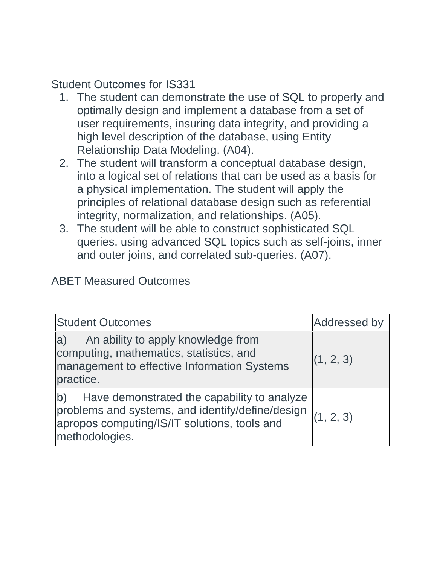# Student Outcomes for IS331

- 1. The student can demonstrate the use of SQL to properly and optimally design and implement a database from a set of user requirements, insuring data integrity, and providing a high level description of the database, using Entity Relationship Data Modeling. (A04).
- 2. The student will transform a conceptual database design, into a logical set of relations that can be used as a basis for a physical implementation. The student will apply the principles of relational database design such as referential integrity, normalization, and relationships. (A05).
- 3. The student will be able to construct sophisticated SQL queries, using advanced SQL topics such as self-joins, inner and outer joins, and correlated sub-queries. (A07).

### ABET Measured Outcomes

| <b>Student Outcomes</b>                                                                                                                                                 | <b>Addressed by</b> |
|-------------------------------------------------------------------------------------------------------------------------------------------------------------------------|---------------------|
| An ability to apply knowledge from<br>a)<br>computing, mathematics, statistics, and<br>management to effective Information Systems<br>practice.                         | (1, 2, 3)           |
| Have demonstrated the capability to analyze<br>b)<br>problems and systems, and identify/define/design<br>apropos computing/IS/IT solutions, tools and<br>methodologies. | (1, 2, 3)           |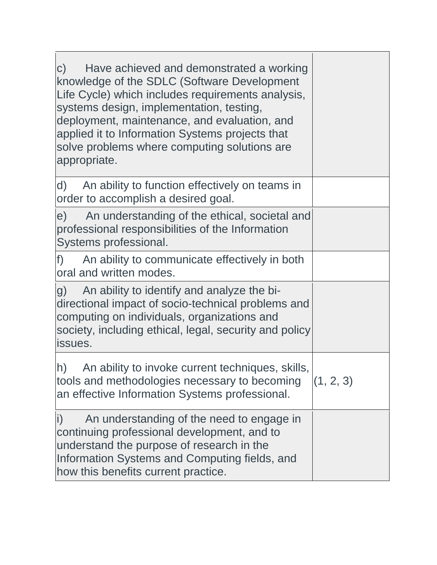| Have achieved and demonstrated a working<br>$\mathsf{C}$ )<br>knowledge of the SDLC (Software Development<br>Life Cycle) which includes requirements analysis,<br>systems design, implementation, testing,<br>deployment, maintenance, and evaluation, and<br>applied it to Information Systems projects that<br>solve problems where computing solutions are<br>appropriate. |           |
|-------------------------------------------------------------------------------------------------------------------------------------------------------------------------------------------------------------------------------------------------------------------------------------------------------------------------------------------------------------------------------|-----------|
| An ability to function effectively on teams in<br>d)<br>order to accomplish a desired goal.                                                                                                                                                                                                                                                                                   |           |
| e) An understanding of the ethical, societal and<br>professional responsibilities of the Information<br>Systems professional.                                                                                                                                                                                                                                                 |           |
| $f$ )<br>An ability to communicate effectively in both<br>oral and written modes.                                                                                                                                                                                                                                                                                             |           |
| g)<br>An ability to identify and analyze the bi-<br>directional impact of socio-technical problems and<br>computing on individuals, organizations and<br>society, including ethical, legal, security and policy<br>issues.                                                                                                                                                    |           |
| An ability to invoke current techniques, skills,<br>h)<br>tools and methodologies necessary to becoming<br>an effective Information Systems professional.                                                                                                                                                                                                                     | (1, 2, 3) |
| An understanding of the need to engage in<br>$\mathbf{i}$<br>continuing professional development, and to<br>understand the purpose of research in the<br>Information Systems and Computing fields, and<br>how this benefits current practice.                                                                                                                                 |           |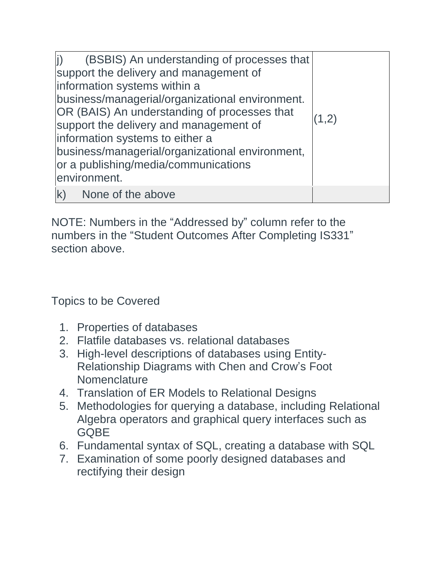| $\mathbf{i}$<br>(BSBIS) An understanding of processes that<br>support the delivery and management of<br>information systems within a<br>business/managerial/organizational environment.<br>OR (BAIS) An understanding of processes that<br>support the delivery and management of<br>information systems to either a<br>business/managerial/organizational environment,<br>or a publishing/media/communications<br>environment. | (1,2) |
|---------------------------------------------------------------------------------------------------------------------------------------------------------------------------------------------------------------------------------------------------------------------------------------------------------------------------------------------------------------------------------------------------------------------------------|-------|
| k) None of the above                                                                                                                                                                                                                                                                                                                                                                                                            |       |

NOTE: Numbers in the "Addressed by" column refer to the numbers in the "Student Outcomes After Completing IS331" section above.

Topics to be Covered

- 1. Properties of databases
- 2. Flatfile databases vs. relational databases
- 3. High-level descriptions of databases using Entity-Relationship Diagrams with Chen and Crow's Foot **Nomenclature**
- 4. Translation of ER Models to Relational Designs
- 5. Methodologies for querying a database, including Relational Algebra operators and graphical query interfaces such as **GOBE**
- 6. Fundamental syntax of SQL, creating a database with SQL
- 7. Examination of some poorly designed databases and rectifying their design